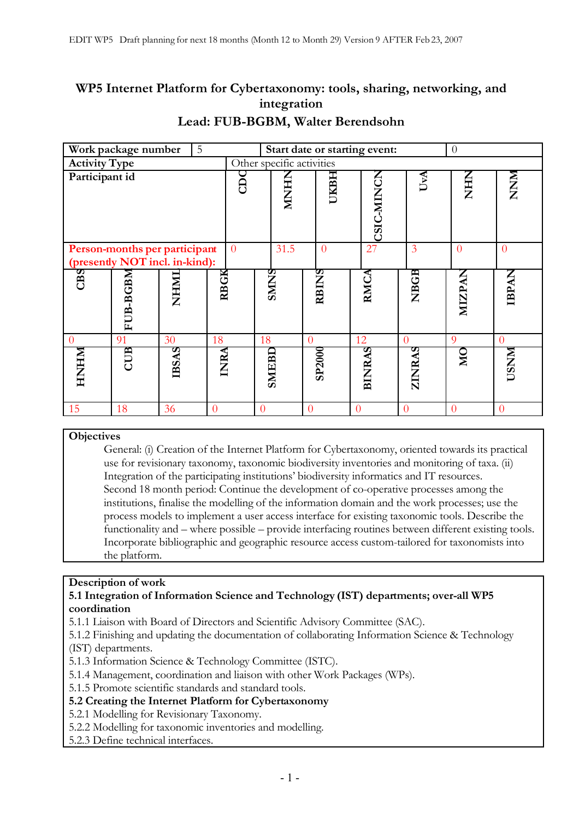# **WP5 Internet Platform for Cybertaxonomy: tools, sharing, networking, and integration**

|                                                                 | Work package number<br>5 |              |                |      |                           | Start date or starting event:<br>$\Omega$ |               |                |                |                |                |
|-----------------------------------------------------------------|--------------------------|--------------|----------------|------|---------------------------|-------------------------------------------|---------------|----------------|----------------|----------------|----------------|
| <b>Activity Type</b>                                            |                          |              |                |      | Other specific activities |                                           |               |                |                |                |                |
| Participant id                                                  |                          |              | SC             | HNM  |                           | UKBH                                      | CSIC-MINCN    | UvA            | E<br>E<br>Z    | MNNN           |                |
| Person-months per participant<br>(presently NOT incl. in-kind): |                          |              | $\overline{0}$ | 31.5 |                           | $\overline{0}$                            | 27            | 3              | $\overline{0}$ | $\overline{0}$ |                |
| CBS                                                             | FUB-BGBM                 | IMHMI        | <b>RBGK</b>    |      | <b>SMINS</b>              |                                           | RBINS         | RMCA           | NBGB           | <b>MIZPAN</b>  | <b>IBPAN</b>   |
| $\theta$                                                        | 91                       | 30           | 18             |      | 18                        | $\overline{0}$                            |               | 12             | $\theta$       | 9              | $\overline{0}$ |
| <b>NHNHN</b>                                                    | CUB                      | <b>IBSAS</b> | INRA           |      | SMEBD                     |                                           | <b>SP2000</b> | <b>BINRAS</b>  | ZINRAS         | MО             | <b>NNSC1</b>   |
| 15                                                              | 18                       | 36           | $\Omega$       |      | $\theta$                  | $\theta$                                  |               | $\overline{0}$ | $\Omega$       | $\Omega$       | $\Omega$       |

# **Lead: FUB-BGBM, Walter Berendsohn**

### **Objectives**

General: (i) Creation of the Internet Platform for Cybertaxonomy, oriented towards its practical use for revisionary taxonomy, taxonomic biodiversity inventories and monitoring of taxa. (ii) Integration of the participating institutions' biodiversity informatics and IT resources. Second 18 month period: Continue the development of co-operative processes among the institutions, finalise the modelling of the information domain and the work processes; use the process models to implement a user access interface for existing taxonomic tools. Describe the functionality and – where possible – provide interfacing routines between different existing tools. Incorporate bibliographic and geographic resource access custom-tailored for taxonomists into the platform.

### **Description of work**

### **5.1 Integration of Information Science and Technology (IST) departments; over-all WP5 coordination**

5.1.1 Liaison with Board of Directors and Scientific Advisory Committee (SAC).

5.1.2 Finishing and updating the documentation of collaborating Information Science & Technology (IST) departments.

5.1.3 Information Science & Technology Committee (ISTC).

5.1.4 Management, coordination and liaison with other Work Packages (WPs).

5.1.5 Promote scientific standards and standard tools.

### **5.2 Creating the Internet Platform for Cybertaxonomy**

5.2.1 Modelling for Revisionary Taxonomy.

5.2.2 Modelling for taxonomic inventories and modelling.

5.2.3 Define technical interfaces.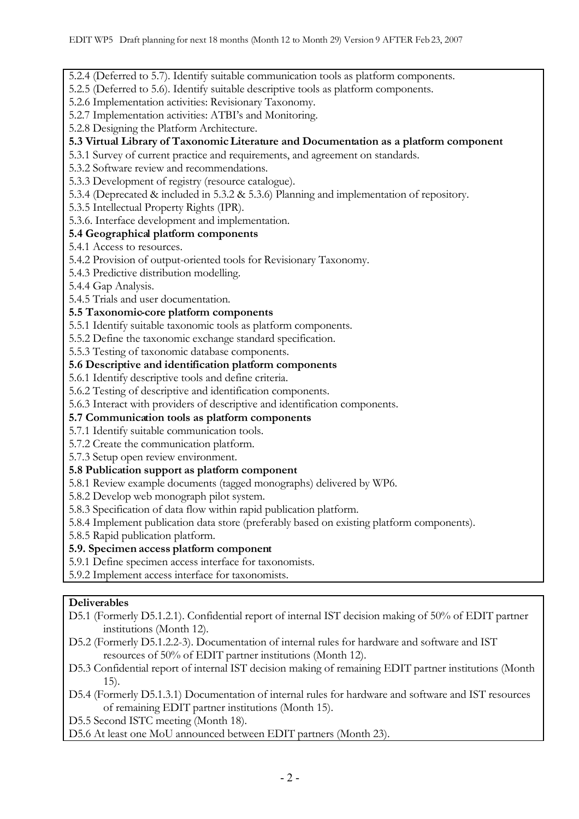5.2.4 (Deferred to 5.7). Identify suitable communication tools as platform components.

5.2.5 (Deferred to 5.6). Identify suitable descriptive tools as platform components.

5.2.6 Implementation activities: Revisionary Taxonomy.

5.2.7 Implementation activities: ATBI's and Monitoring.

5.2.8 Designing the Platform Architecture.

# **5.3 Virtual Library of TaxonomicLiterature and Documentation as a platform component**

5.3.1 Survey of current practice and requirements, and agreement on standards.

5.3.2 Software review and recommendations.

5.3.3 Development of registry (resource catalogue).

5.3.4 (Deprecated & included in 5.3.2 & 5.3.6) Planning and implementation of repository.

5.3.5 Intellectual Property Rights (IPR).

5.3.6. Interface development and implementation.

# **5.4 Geographical platform components**

5.4.1 Access to resources.

5.4.2 Provision of output-oriented tools for Revisionary Taxonomy.

5.4.3 Predictive distribution modelling.

5.4.4 Gap Analysis.

5.4.5 Trials and user documentation.

## **5.5 Taxonomic-core platform components**

5.5.1 Identify suitable taxonomic tools as platform components.

5.5.2 Define the taxonomic exchange standard specification.

5.5.3 Testing of taxonomic database components.

## **5.6 Descriptive and identification platform components**

5.6.1 Identify descriptive tools and define criteria.

5.6.2 Testing of descriptive and identification components.

5.6.3 Interact with providers of descriptive and identification components.

### **5.7 Communication tools as platform components**

5.7.1 Identify suitable communication tools.

5.7.2 Create the communication platform.

5.7.3 Setup open review environment.

# **5.8 Publication support as platform component**

5.8.1 Review example documents (tagged monographs) delivered by WP6.

5.8.2 Develop web monograph pilot system.

5.8.3 Specification of data flow within rapid publication platform.

5.8.4 Implement publication data store (preferably based on existing platform components).

5.8.5 Rapid publication platform.

# **5.9. Specimen access platform component**

5.9.1 Define specimen access interface for taxonomists.

5.9.2 Implement access interface for taxonomists.

### **Deliverables**

D5.1 (Formerly D5.1.2.1). Confidential report of internal IST decision making of 50% of EDIT partner institutions (Month 12).

D5.2 (Formerly D5.1.2.2-3). Documentation of internal rules for hardware and software and IST resources of 50% of EDIT partner institutions (Month 12).

D5.3 Confidential report of internal IST decision making of remaining EDIT partner institutions (Month 15).

D5.4 (Formerly D5.1.3.1) Documentation of internal rules for hardware and software and IST resources of remaining EDIT partner institutions (Month 15).

D5.5 Second ISTC meeting (Month 18).

D5.6 At least one MoU announced between EDIT partners (Month 23).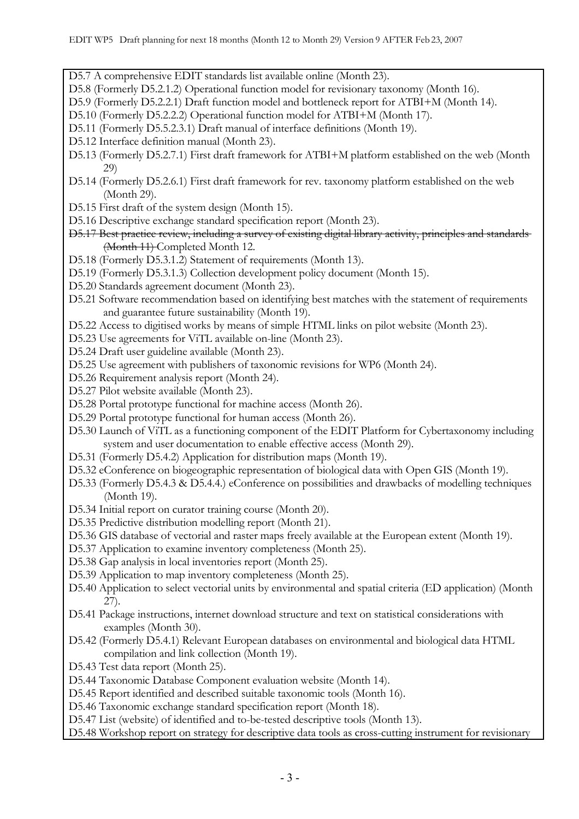D5.7 A comprehensive EDIT standards list available online (Month 23).

- D5.8 (Formerly D5.2.1.2) Operational function model for revisionary taxonomy (Month 16).
- D5.9 (Formerly D5.2.2.1) Draft function model and bottleneck report for ATBI+M (Month 14).
- D5.10 (Formerly D5.2.2.2) Operational function model for ATBI+M (Month 17).
- D5.11 (Formerly D5.5.2.3.1) Draft manual of interface definitions (Month 19).
- D5.12 Interface definition manual (Month 23).
- D5.13 (Formerly D5.2.7.1) First draft framework for ATBI+M platform established on the web (Month 29)
- D5.14 (Formerly D5.2.6.1) First draft framework for rev. taxonomy platform established on the web (Month 29).
- D5.15 First draft of the system design (Month 15).
- D5.16 Descriptive exchange standard specification report (Month 23).
- D5.17 Best practice review, including a survey of existing digital library activity, principles and standards (Month 11) Completed Month 12.
- D5.18 (Formerly D5.3.1.2) Statement of requirements (Month 13).
- D5.19 (Formerly D5.3.1.3) Collection development policy document (Month 15).
- D5.20 Standards agreement document (Month 23).
- D5.21 Software recommendation based on identifying best matches with the statement of requirements and guarantee future sustainability (Month 19).
- D5.22 Access to digitised works by means of simple HTML links on pilot website (Month 23).
- D5.23 Use agreements for ViTL available on-line (Month 23).
- D5.24 Draft user guideline available (Month 23).
- D5.25 Use agreement with publishers of taxonomic revisions for WP6 (Month 24).
- D5.26 Requirement analysis report (Month 24).
- D5.27 Pilot website available (Month 23).
- D5.28 Portal prototype functional for machine access (Month 26).
- D5.29 Portal prototype functional for human access (Month 26).
- D5.30 Launch of ViTL as a functioning component of the EDIT Platform for Cybertaxonomy including system and user documentation to enable effective access (Month 29).
- D5.31 (Formerly D5.4.2) Application for distribution maps (Month 19).
- D5.32 eConference on biogeographic representation of biological data with Open GIS (Month 19).
- D5.33 (Formerly D5.4.3 & D5.4.4.) eConference on possibilities and drawbacks of modelling techniques (Month 19).
- D5.34 Initial report on curator training course (Month 20).
- D5.35 Predictive distribution modelling report (Month 21).
- D5.36 GIS database of vectorial and raster maps freely available at the European extent (Month 19).
- D5.37 Application to examine inventory completeness (Month 25).
- D5.38 Gap analysis in local inventories report (Month 25).
- D5.39 Application to map inventory completeness (Month 25).
- D5.40 Application to select vectorial units by environmental and spatial criteria (ED application) (Month 27).
- D5.41 Package instructions, internet download structure and text on statistical considerations with examples (Month 30).
- D5.42 (Formerly D5.4.1) Relevant European databases on environmental and biological data HTML compilation and link collection (Month 19).
- D5.43 Test data report (Month 25).
- D5.44 Taxonomic Database Component evaluation website (Month 14).
- D5.45 Report identified and described suitable taxonomic tools (Month 16).
- D5.46 Taxonomic exchange standard specification report (Month 18).
- D5.47 List (website) of identified and to-be-tested descriptive tools (Month 13).
- D5.48 Workshop report on strategy for descriptive data tools as cross-cutting instrument for revisionary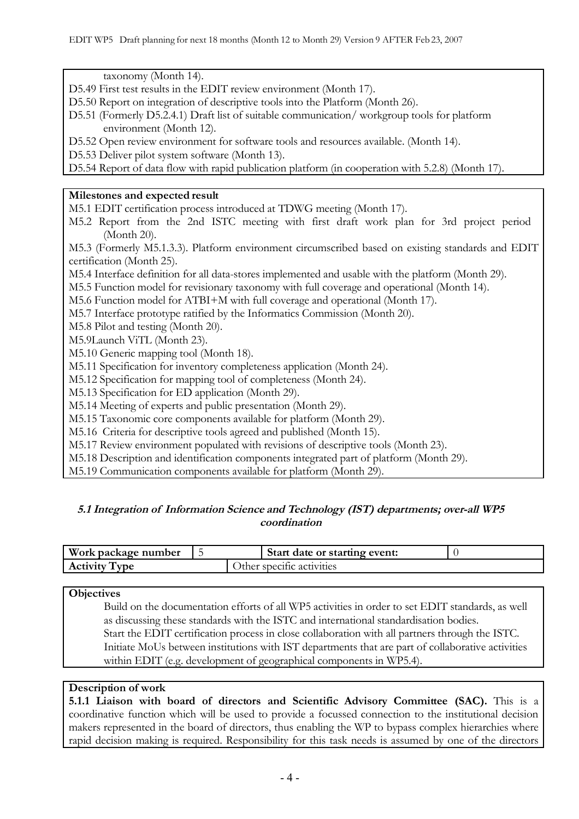taxonomy (Month 14).

- D5.49 First test results in the EDIT review environment (Month 17).
- D5.50 Report on integration of descriptive tools into the Platform (Month 26).
- D5.51 (Formerly D5.2.4.1) Draft list of suitable communication/ workgroup tools for platform environment (Month 12).
- D5.52 Open review environment for software tools and resources available. (Month 14).
- D5.53 Deliver pilot system software (Month 13).

D5.54 Report of data flow with rapid publication platform (in cooperation with 5.2.8) (Month 17).

## **Milestones and expected result**

M5.1 EDIT certification process introduced at TDWG meeting (Month 17).

M5.2 Report from the 2nd ISTC meeting with first draft work plan for 3rd project period (Month 20).

M5.3 (Formerly M5.1.3.3). Platform environment circumscribed based on existing standards and EDIT certification (Month 25).

- M5.4 Interface definition for all data-stores implemented and usable with the platform (Month 29).
- M5.5 Function model for revisionary taxonomy with full coverage and operational (Month 14).
- M5.6 Function model for ATBI+M with full coverage and operational (Month 17).
- M5.7 Interface prototype ratified by the Informatics Commission (Month 20).
- M5.8 Pilot and testing (Month 20).
- M5.9Launch ViTL (Month 23).
- M5.10 Generic mapping tool (Month 18).
- M5.11 Specification for inventory completeness application (Month 24).
- M5.12 Specification for mapping tool of completeness (Month 24).
- M5.13 Specification for ED application (Month 29).
- M5.14 Meeting of experts and public presentation (Month 29).
- M5.15 Taxonomic core components available for platform (Month 29).
- M5.16 Criteria for descriptive tools agreed and published (Month 15).
- M5.17 Review environment populated with revisions of descriptive tools (Month 23).
- M5.18 Description and identification components integrated part of platform (Month 29).

M5.19 Communication components available for platform (Month 29).

# **5.1 Integration of Information Science and Technology (IST) departments; over-all WP5 coordination**

| Work package number      |  | Start date or starting event: |  |
|--------------------------|--|-------------------------------|--|
| <b>Activity</b><br>l vpe |  | Other specific activities     |  |

### **Objectives**

Build on the documentation efforts of all WP5 activities in order to set EDIT standards, as well as discussing these standards with the ISTC and international standardisation bodies. Start the EDIT certification process in close collaboration with all partners through the ISTC. Initiate MoUs between institutions with IST departments that are part of collaborative activities within EDIT (e.g. development of geographical components in WP5.4).

# **Description of work**

**5.1.1 Liaison with board of directors and Scientific Advisory Committee (SAC).** This is a coordinative function which will be used to provide a focussed connection to the institutional decision makers represented in the board of directors, thus enabling the WP to bypass complex hierarchies where rapid decision making is required. Responsibility for this task needs is assumed by one of the directors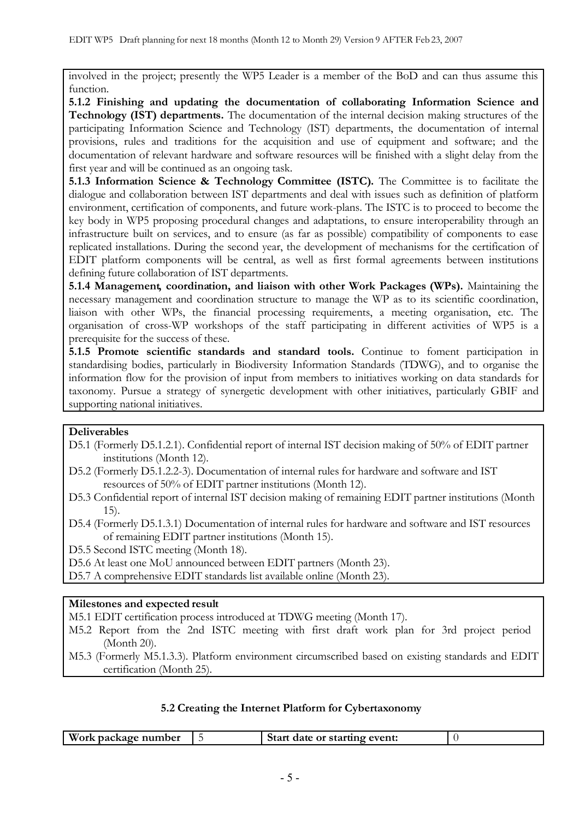involved in the project; presently the WP5 Leader is a member of the BoD and can thus assume this function.

**5.1.2 Finishing and updating the documentation of collaborating Information Science and Technology (IST) departments.** The documentation of the internal decision making structures of the participating Information Science and Technology (IST) departments, the documentation of internal provisions, rules and traditions for the acquisition and use of equipment and software; and the documentation of relevant hardware and software resources will be finished with a slight delay from the first year and will be continued as an ongoing task.

**5.1.3 Information Science & Technology Committee (ISTC).** The Committee is to facilitate the dialogue and collaboration between IST departments and deal with issues such as definition of platform environment, certification of components, and future work-plans. The ISTC is to proceed to become the key body in WP5 proposing procedural changes and adaptations, to ensure interoperability through an infrastructure built on services, and to ensure (as far as possible) compatibility of components to ease replicated installations. During the second year, the development of mechanisms for the certification of EDIT platform components will be central, as well as first formal agreements between institutions defining future collaboration of IST departments.

**5.1.4 Management, coordination, and liaison with other Work Packages (WPs).** Maintaining the necessary management and coordination structure to manage the WP as to its scientific coordination, liaison with other WPs, the financial processing requirements, a meeting organisation, etc. The organisation of cross-WP workshops of the staff participating in different activities of WP5 is a prerequisite for the success of these.

**5.1.5 Promote scientific standards and standard tools.** Continue to foment participation in standardising bodies, particularly in Biodiversity Information Standards (TDWG), and to organise the information flow for the provision of input from members to initiatives working on data standards for taxonomy. Pursue a strategy of synergetic development with other initiatives, particularly GBIF and supporting national initiatives.

### **Deliverables**

- D5.1 (Formerly D5.1.2.1). Confidential report of internal IST decision making of 50% of EDIT partner institutions (Month 12).
- D5.2 (Formerly D5.1.2.2-3). Documentation of internal rules for hardware and software and IST resources of 50% of EDIT partner institutions (Month 12).
- D5.3 Confidential report of internal IST decision making of remaining EDIT partner institutions (Month 15).

D5.4 (Formerly D5.1.3.1) Documentation of internal rules for hardware and software and IST resources of remaining EDIT partner institutions (Month 15).

D5.5 Second ISTC meeting (Month 18).

D5.6 At least one MoU announced between EDIT partners (Month 23).

D5.7 A comprehensive EDIT standards list available online (Month 23).

## **Milestones and expected result**

M5.1 EDIT certification process introduced at TDWG meeting (Month 17).

- M5.2 Report from the 2nd ISTC meeting with first draft work plan for 3rd project period (Month 20).
- M5.3 (Formerly M5.1.3.3). Platform environment circumscribed based on existing standards and EDIT certification (Month 25).

### **5.2 Creating the Internet Platform for Cybertaxonomy**

| Work package number<br>Start date or starting event: |  |
|------------------------------------------------------|--|
|------------------------------------------------------|--|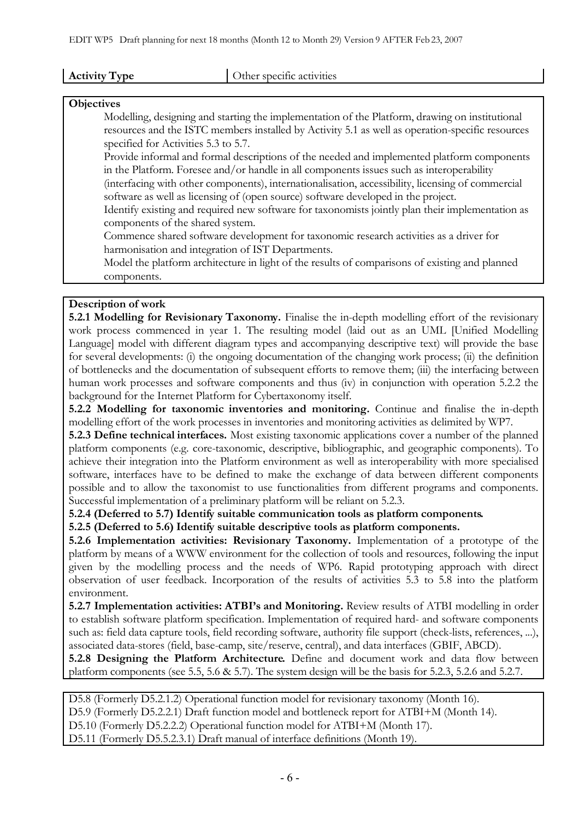**Other specific activities** 

#### **Objectives**

Modelling, designing and starting the implementation of the Platform, drawing on institutional resources and the ISTC members installed by Activity 5.1 as well as operation-specific resources specified for Activities 5.3 to 5.7.

Provide informal and formal descriptions of the needed and implemented platform components in the Platform. Foresee and/or handle in all components issues such as interoperability

(interfacing with other components), internationalisation, accessibility, licensing of commercial software as well as licensing of (open source) software developed in the project.

Identify existing and required new software for taxonomists jointly plan their implementation as components of the shared system.

Commence shared software development for taxonomic research activities as a driver for harmonisation and integration of IST Departments.

Model the platform architecture in light of the results of comparisons of existing and planned components.

### **Description of work**

**5.2.1 Modelling for Revisionary Taxonomy.** Finalise the in-depth modelling effort of the revisionary work process commenced in year 1. The resulting model (laid out as an UML [Unified Modelling Language] model with different diagram types and accompanying descriptive text) will provide the base for several developments: (i) the ongoing documentation of the changing work process; (ii) the definition of bottlenecks and the documentation of subsequent efforts to remove them; (iii) the interfacing between human work processes and software components and thus (iv) in conjunction with operation 5.2.2 the background for the Internet Platform for Cybertaxonomy itself.

**5.2.2 Modelling for taxonomic inventories and monitoring.** Continue and finalise the in-depth modelling effort of the work processes in inventories and monitoring activities as delimited by WP7.

**5.2.3 Define technical interfaces.** Most existing taxonomic applications cover a number of the planned platform components (e.g. core-taxonomic, descriptive, bibliographic, and geographic components). To achieve their integration into the Platform environment as well as interoperability with more specialised software, interfaces have to be defined to make the exchange of data between different components possible and to allow the taxonomist to use functionalities from different programs and components. Successful implementation of a preliminary platform will be reliant on 5.2.3.

**5.2.4 (Deferred to 5.7) Identify suitable communication tools as platform components.**

**5.2.5 (Deferred to 5.6) Identify suitable descriptive tools as platform components.**

**5.2.6 Implementation activities: Revisionary Taxonomy.** Implementation of a prototype of the platform by means of a WWW environment for the collection of tools and resources, following the input given by the modelling process and the needs of WP6. Rapid prototyping approach with direct observation of user feedback. Incorporation of the results of activities 5.3 to 5.8 into the platform environment.

**5.2.7 Implementation activities: ATBI's and Monitoring.** Review results of ATBI modelling in order to establish software platform specification. Implementation of required hard- and software components such as: field data capture tools, field recording software, authority file support (check-lists, references, ...), associated data-stores (field, base-camp, site/reserve, central), and data interfaces (GBIF, ABCD).

**5.2.8 Designing the Platform Architecture.** Define and document work and data flow between platform components (see 5.5, 5.6 & 5.7). The system design will be the basis for 5.2.3, 5.2.6 and 5.2.7.

D5.8 (Formerly D5.2.1.2) Operational function model for revisionary taxonomy (Month 16).

D5.9 (Formerly D5.2.2.1) Draft function model and bottleneck report for ATBI+M (Month 14).

D5.10 (Formerly D5.2.2.2) Operational function model for ATBI+M (Month 17).

D5.11 (Formerly D5.5.2.3.1) Draft manual of interface definitions (Month 19).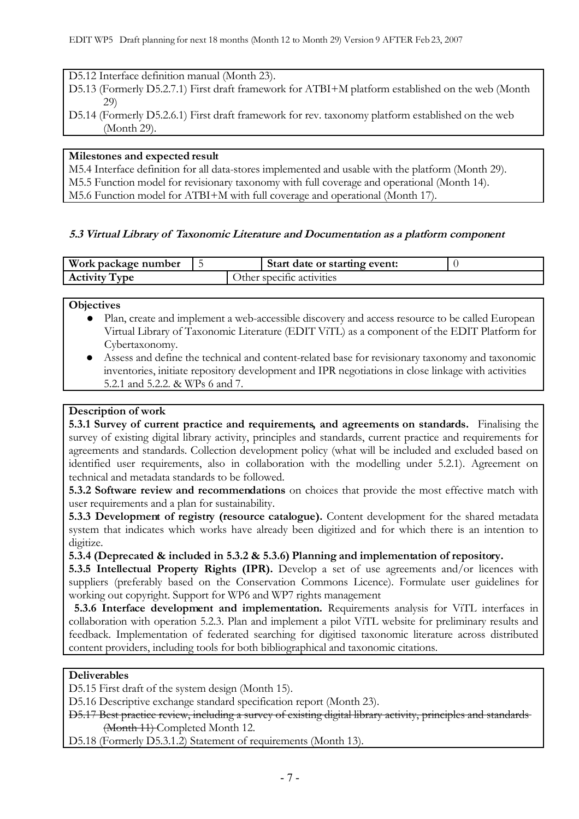D5.12 Interface definition manual (Month 23).

- D5.13 (Formerly D5.2.7.1) First draft framework for ATBI+M platform established on the web (Month 29)
- D5.14 (Formerly D5.2.6.1) First draft framework for rev. taxonomy platform established on the web (Month 29).

## **Milestones and expected result**

M5.4 Interface definition for all data-stores implemented and usable with the platform (Month 29). M5.5 Function model for revisionary taxonomy with full coverage and operational (Month 14). M5.6 Function model for ATBI+M with full coverage and operational (Month 17).

# **5.3 Virtual Library of Taxonomic Literature and Documentation as a platform component**

| Work package number  |  | Start date or starting event: |  |
|----------------------|--|-------------------------------|--|
| <b>Activity Type</b> |  | Dther specific activities."   |  |

**Objectives**

- Plan, create and implement a web-accessible discovery and access resource to be called European Virtual Library of Taxonomic Literature (EDIT ViTL) as a component of the EDIT Platform for Cybertaxonomy.
- Assess and define the technical and content-related base for revisionary taxonomy and taxonomic inventories, initiate repository development and IPR negotiations in close linkage with activities 5.2.1 and 5.2.2. & WPs 6 and 7.

## **Description of work**

**5.3.1 Survey of current practice and requirements, and agreements on standards.** Finalising the survey of existing digital library activity, principles and standards, current practice and requirements for agreements and standards. Collection development policy (what will be included and excluded based on identified user requirements, also in collaboration with the modelling under 5.2.1). Agreement on technical and metadata standards to be followed.

**5.3.2 Software review and recommendations** on choices that provide the most effective match with user requirements and a plan for sustainability.

**5.3.3 Development of registry (resource catalogue).** Content development for the shared metadata system that indicates which works have already been digitized and for which there is an intention to digitize.

**5.3.4 (Deprecated & included in 5.3.2 & 5.3.6) Planning and implementation of repository.**

**5.3.5 Intellectual Property Rights (IPR).** Develop a set of use agreements and/or licences with suppliers (preferably based on the Conservation Commons Licence). Formulate user guidelines for working out copyright. Support for WP6 and WP7 rights management

**5.3.6 Interface development and implementation.** Requirements analysis for ViTL interfaces in collaboration with operation 5.2.3. Plan and implement a pilot ViTL website for preliminary results and feedback. Implementation of federated searching for digitised taxonomic literature across distributed content providers, including tools for both bibliographical and taxonomic citations.

### **Deliverables**

D5.15 First draft of the system design (Month 15).

D5.16 Descriptive exchange standard specification report (Month 23).

D5.17 Best practice review, including a survey of existing digital library activity, principles and standards (Month 11) Completed Month 12.

D5.18 (Formerly D5.3.1.2) Statement of requirements (Month 13).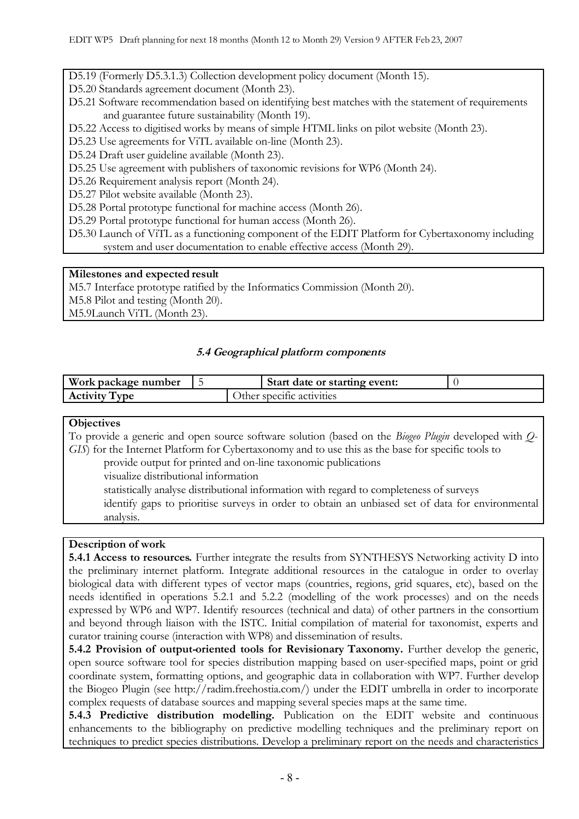D5.19 (Formerly D5.3.1.3) Collection development policy document (Month 15).

D5.20 Standards agreement document (Month 23).

- D5.21 Software recommendation based on identifying best matches with the statement of requirements and guarantee future sustainability (Month 19).
- D5.22 Access to digitised works by means of simple HTML links on pilot website (Month 23).
- D5.23 Use agreements for ViTL available on-line (Month 23).
- D5.24 Draft user guideline available (Month 23).
- D5.25 Use agreement with publishers of taxonomic revisions for WP6 (Month 24).
- D5.26 Requirement analysis report (Month 24).

D5.27 Pilot website available (Month 23).

D5.28 Portal prototype functional for machine access (Month 26).

- D5.29 Portal prototype functional for human access (Month 26).
- D5.30 Launch of ViTL as a functioning component of the EDIT Platform for Cybertaxonomy including system and user documentation to enable effective access (Month 29).

### **Milestones and expected result**

M5.7 Interface prototype ratified by the Informatics Commission (Month 20).

M5.8 Pilot and testing (Month 20).

M5.9Launch ViTL (Month 23).

## **5.4 Geographical platform components**

| Work package number  |  | Start date or starting event: |  |
|----------------------|--|-------------------------------|--|
| <b>Activity Type</b> |  | ) ther specific activities    |  |

| <b>Objectives</b>                                                                                    |
|------------------------------------------------------------------------------------------------------|
| To provide a generic and open source software solution (based on the Biogeo Plugin developed with Q- |
| GIS) for the Internet Platform for Cybertaxonomy and to use this as the base for specific tools to   |
| provide output for printed and on-line taxonomic publications                                        |
| visualize distributional information                                                                 |
| statistically analyse distributional information with regard to completeness of surveys              |
| identify gaps to prioritise surveys in order to obtain an unbiased set of data for environmental     |
| analysis.                                                                                            |

### **Description of work**

**5.4.1 Access to resources.** Further integrate the results from SYNTHESYS Networking activity D into the preliminary internet platform. Integrate additional resources in the catalogue in order to overlay biological data with different types of vector maps (countries, regions, grid squares, etc), based on the needs identified in operations 5.2.1 and 5.2.2 (modelling of the work processes) and on the needs expressed by WP6 and WP7. Identify resources (technical and data) of other partners in the consortium and beyond through liaison with the ISTC. Initial compilation of material for taxonomist, experts and curator training course (interaction with WP8) and dissemination of results.

**5.4.2 Provision of output-oriented tools for Revisionary Taxonomy.** Further develop the generic, open source software tool for species distribution mapping based on user-specified maps, point or grid coordinate system, formatting options, and geographic data in collaboration with WP7. Further develop the Biogeo Plugin (see http://radim.freehostia.com/) under the EDIT umbrella in order to incorporate complex requests of database sources and mapping several species maps at the same time.

**5.4.3 Predictive distribution modelling.** Publication on the EDIT website and continuous enhancements to the bibliography on predictive modelling techniques and the preliminary report on techniques to predict species distributions. Develop a preliminary report on the needs and characteristics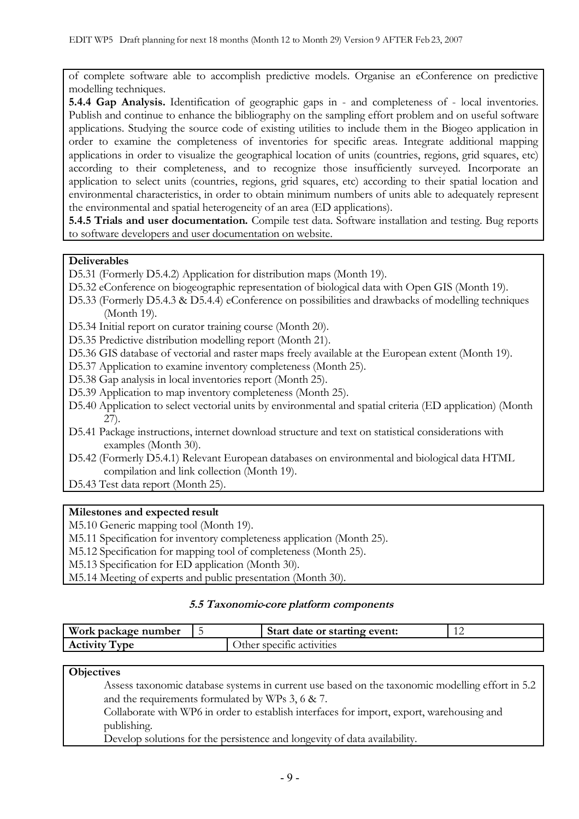of complete software able to accomplish predictive models. Organise an eConference on predictive modelling techniques.

**5.4.4 Gap Analysis.** Identification of geographic gaps in - and completeness of - local inventories. Publish and continue to enhance the bibliography on the sampling effort problem and on useful software applications. Studying the source code of existing utilities to include them in the Biogeo application in order to examine the completeness of inventories for specific areas. Integrate additional mapping applications in order to visualize the geographical location of units (countries, regions, grid squares, etc) according to their completeness, and to recognize those insufficiently surveyed. Incorporate an application to select units (countries, regions, grid squares, etc) according to their spatial location and environmental characteristics, in order to obtain minimum numbers of units able to adequately represent the environmental and spatial heterogeneity of an area (ED applications).

**5.4.5 Trials and user documentation.** Compile test data. Software installation and testing. Bug reports to software developers and user documentation on website.

### **Deliverables**

- D5.31 (Formerly D5.4.2) Application for distribution maps (Month 19).
- D5.32 eConference on biogeographic representation of biological data with Open GIS (Month 19).
- D5.33 (Formerly D5.4.3 & D5.4.4) eConference on possibilities and drawbacks of modelling techniques (Month 19).
- D5.34 Initial report on curator training course (Month 20).
- D5.35 Predictive distribution modelling report (Month 21).
- D5.36 GIS database of vectorial and raster maps freely available at the European extent (Month 19).
- D5.37 Application to examine inventory completeness (Month 25).
- D5.38 Gap analysis in local inventories report (Month 25).
- D5.39 Application to map inventory completeness (Month 25).
- D5.40 Application to select vectorial units by environmental and spatial criteria (ED application) (Month 27).
- D5.41 Package instructions, internet download structure and text on statistical considerations with examples (Month 30).
- D5.42 (Formerly D5.4.1) Relevant European databases on environmental and biological data HTML compilation and link collection (Month 19).
- D5.43 Test data report (Month 25).

# **Milestones and expected result**

M5.10 Generic mapping tool (Month 19).

M5.11 Specification for inventory completeness application (Month 25).

M5.12 Specification for mapping tool of completeness (Month 25).

M5.13 Specification for ED application (Month 30).

M5.14 Meeting of experts and public presentation (Month 30).

### **5.5 Taxonomic-core platform components**

| Work package number  |  | Start date or starting event: |  |
|----------------------|--|-------------------------------|--|
| <b>Activity Type</b> |  | Other specific activities     |  |

### **Objectives**

Assess taxonomic database systems in current use based on the taxonomic modelling effort in 5.2 and the requirements formulated by WPs 3, 6 & 7.

Collaborate with WP6 in order to establish interfaces for import, export, warehousing and publishing.

Develop solutions for the persistence and longevity of data availability.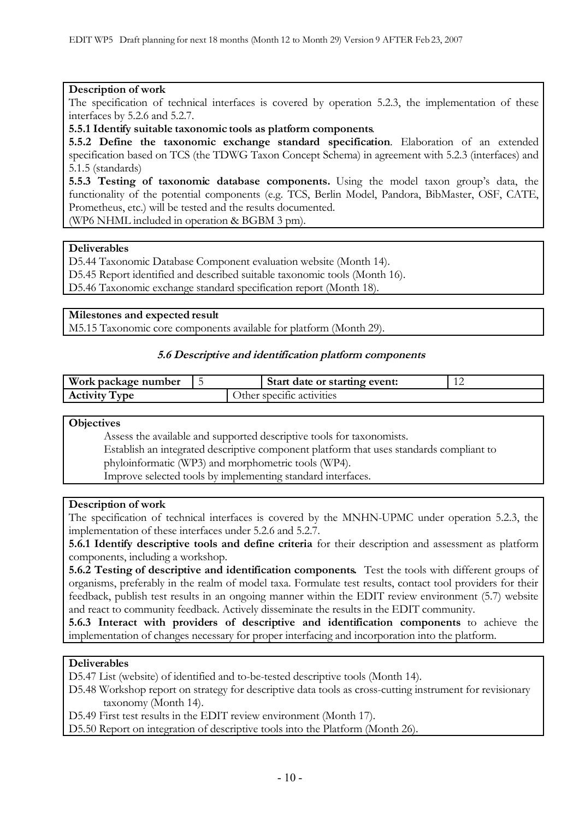#### **Description of work**

The specification of technical interfaces is covered by operation 5.2.3, the implementation of these interfaces by 5.2.6 and 5.2.7.

**5.5.1 Identify suitable taxonomic tools as platform components**.

**5.5.2 Define the taxonomic exchange standard specification**. Elaboration of an extended specification based on TCS (the TDWG Taxon Concept Schema) in agreement with 5.2.3 (interfaces) and 5.1.5 (standards)

**5.5.3 Testing of taxonomic database components.** Using the model taxon group's data, the functionality of the potential components (e.g. TCS, Berlin Model, Pandora, BibMaster, OSF, CATE, Prometheus, etc.) will be tested and the results documented.

(WP6 NHML included in operation & BGBM 3 pm).

#### **Deliverables**

D5.44 Taxonomic Database Component evaluation website (Month 14).

D5.45 Report identified and described suitable taxonomic tools (Month 16).

D5.46 Taxonomic exchange standard specification report (Month 18).

#### **Milestones and expected result**

M5.15 Taxonomic core components available for platform (Month 29).

#### **5.6 Descriptive and identification platform components**

| Work package number |  | Start date or starting event: |  |
|---------------------|--|-------------------------------|--|
| Activity Type       |  | Other specific activities     |  |

#### **Objectives**

Assess the available and supported descriptive tools for taxonomists. Establish an integrated descriptive component platform that uses standards compliant to phyloinformatic (WP3) and morphometric tools (WP4).

Improve selected tools by implementing standard interfaces.

### **Description of work**

The specification of technical interfaces is covered by the MNHN-UPMC under operation 5.2.3, the implementation of these interfaces under 5.2.6 and 5.2.7.

**5.6.1 Identify descriptive tools and define criteria** for their description and assessment as platform components, including a workshop.

**5.6.2 Testing of descriptive and identification components.** Test the tools with different groups of organisms, preferably in the realm of model taxa. Formulate test results, contact tool providers for their feedback, publish test results in an ongoing manner within the EDIT review environment (5.7) website and react to community feedback. Actively disseminate the results in the EDIT community.

**5.6.3 Interact with providers of descriptive and identification components** to achieve the implementation of changes necessary for proper interfacing and incorporation into the platform.

## **Deliverables**

D5.47 List (website) of identified and to-be-tested descriptive tools (Month 14).

D5.48 Workshop report on strategy for descriptive data tools as cross-cutting instrument for revisionary taxonomy (Month 14).

D5.49 First test results in the EDIT review environment (Month 17).

D5.50 Report on integration of descriptive tools into the Platform (Month 26).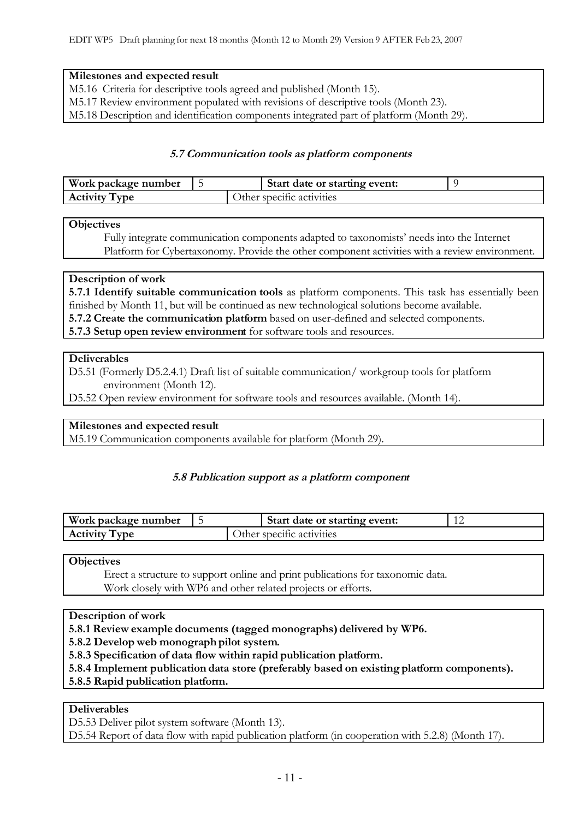## **Milestones and expected result**

M5.16 Criteria for descriptive tools agreed and published (Month 15).

M5.17 Review environment populated with revisions of descriptive tools (Month 23).

M5.18 Description and identification components integrated part of platform (Month 29).

## **5.7 Communication tools as platform components**

| Work package number  |  | Start date or starting event: |  |
|----------------------|--|-------------------------------|--|
| <b>Activity Type</b> |  | Other specific activities     |  |

### **Objectives**

Fully integrate communication components adapted to taxonomists' needs into the Internet Platform for Cybertaxonomy. Provide the other component activities with a review environment.

## **Description of work**

**5.7.1 Identify suitable communication tools** as platform components. This task has essentially been finished by Month 11, but will be continued as new technological solutions become available. **5.7.2 Create the communication platform** based on user-defined and selected components.

**5.7.3 Setup open review environment** for software tools and resources.

## **Deliverables**

D5.51 (Formerly D5.2.4.1) Draft list of suitable communication/ workgroup tools for platform environment (Month 12).

D5.52 Open review environment for software tools and resources available. (Month 14).

# **Milestones and expected result**

M5.19 Communication components available for platform (Month 29).

### **5.8 Publication support as a platform component**

| Work package number  |  | Start date or starting event: |  |
|----------------------|--|-------------------------------|--|
| <b>Activity Type</b> |  | ther specific activities      |  |

**Objectives**

Erect a structure to support online and print publications for taxonomic data. Work closely with WP6 and other related projects or efforts.

# **Description of work**

**5.8.1 Review example documents (tagged monographs) delivered by WP6.** 

**5.8.2 Develop web monograph pilot system.**

**5.8.3 Specification of data flow within rapid publication platform.**

**5.8.4 Implement publication data store (preferably based on existing platform components).**

### **5.8.5 Rapid publication platform.**

### **Deliverables**

D5.53 Deliver pilot system software (Month 13).

D5.54 Report of data flow with rapid publication platform (in cooperation with 5.2.8) (Month 17).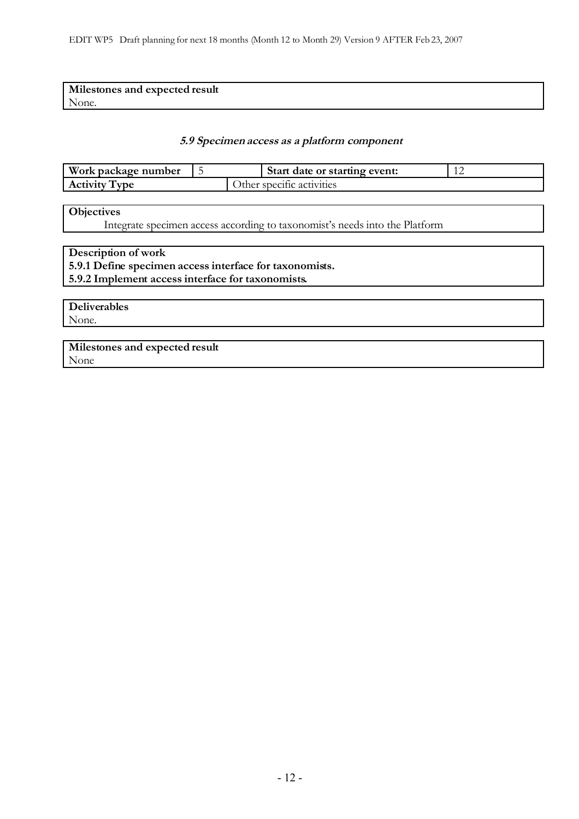| Milestones and expected result |  |
|--------------------------------|--|
| None.                          |  |

#### **5.9 Specimen access as a platform component**

| Work package number           |  | Start date or starting event: |  |
|-------------------------------|--|-------------------------------|--|
| T <sub>VDE</sub><br>Activity' |  | Other specific activities     |  |

### **Objectives**

Integrate specimen access according to taxonomist's needs into the Platform

## **Description of work 5.9.1 Define specimen access interface for taxonomists. 5.9.2 Implement access interface for taxonomists.**

**Deliverables** None.

**Milestones and expected result** None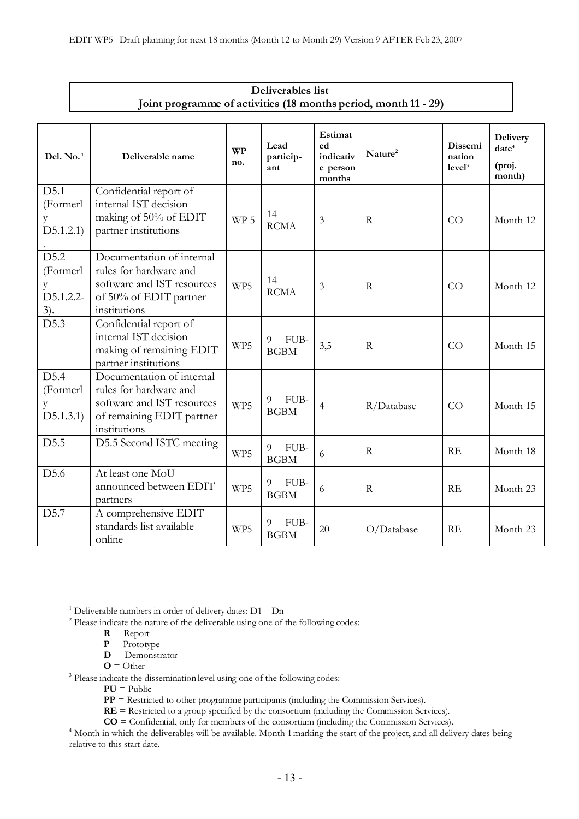| Deliverables list                                               |                                                                                                                                |                  |                          |                                                  |                     |                                         |                                                   |  |  |
|-----------------------------------------------------------------|--------------------------------------------------------------------------------------------------------------------------------|------------------|--------------------------|--------------------------------------------------|---------------------|-----------------------------------------|---------------------------------------------------|--|--|
| Joint programme of activities (18 months period, month 11 - 29) |                                                                                                                                |                  |                          |                                                  |                     |                                         |                                                   |  |  |
| Del. No. <sup>1</sup>                                           | Deliverable name                                                                                                               | <b>WP</b><br>no. | Lead<br>particip-<br>ant | Estimat<br>ed<br>indicativ<br>e person<br>months | Nature <sup>2</sup> | Dissemi<br>nation<br>level <sup>3</sup> | Delivery<br>date <sup>4</sup><br>(proj.<br>month) |  |  |
| D5.1<br>(Formerl<br>y<br>D5.1.2.1)                              | Confidential report of<br>internal IST decision<br>making of 50% of EDIT<br>partner institutions                               | WP <sub>5</sub>  | 14<br><b>RCMA</b>        | 3                                                | R                   | CO                                      | Month 12                                          |  |  |
| D5.2<br>(Formerl<br>y<br>D5.1.2.2-<br>$3)$ .                    | Documentation of internal<br>rules for hardware and<br>software and IST resources<br>of 50% of EDIT partner<br>institutions    | WP5              | 14<br><b>RCMA</b>        | 3                                                | $\mathbf R$         | CO                                      | Month 12                                          |  |  |
| $\overline{D5.3}$                                               | Confidential report of<br>internal IST decision<br>making of remaining EDIT<br>partner institutions                            | WP5              | FUB-<br>9<br><b>BGBM</b> | 3,5                                              | $\mathbb{R}$        | CO                                      | Month 15                                          |  |  |
| D5.4<br>(Formerl<br>y<br>D5.1.3.1)                              | Documentation of internal<br>rules for hardware and<br>software and IST resources<br>of remaining EDIT partner<br>institutions | WP5              | FUB-<br>9<br><b>BGBM</b> | 4                                                | R/Database          | CO                                      | Month 15                                          |  |  |
| D5.5                                                            | D5.5 Second ISTC meeting                                                                                                       | WP5              | FUB-<br>9<br><b>BGBM</b> | 6                                                | $\mathbf R$         | RE                                      | Month 18                                          |  |  |
| D5.6                                                            | At least one MoU<br>announced between EDIT<br>partners                                                                         | WP5              | 9<br>FUB-<br><b>BGBM</b> | 6                                                | R                   | RE                                      | Month 23                                          |  |  |
| D5.7                                                            | A comprehensive EDIT<br>standards list available<br>online                                                                     | WP5              | FUB-<br>9<br><b>BGBM</b> | 20                                               | O/Database          | RE                                      | Month 23                                          |  |  |

- $\mathbf{D}$  = Demonstrator
- $\mathbf{O} = \mathrm{Other}$

**PU** = Public

**PP** = Restricted to other programme participants (including the Commission Services).

**RE** = Restricted to a group specified by the consortium (including the Commission Services).

**CO** = Confidential, only for members of the consortium (including the Commission Services).

<span id="page-12-0"></span><sup>&</sup>lt;sup>1</sup> Deliverable numbers in order of delivery dates:  $D1 - Dn$ 

<span id="page-12-1"></span><sup>2</sup> Please indicate the nature of the deliverable using one of the following codes:

 $R =$  Report

**P** = Prototype

<span id="page-12-2"></span><sup>&</sup>lt;sup>3</sup> Please indicate the dissemination level using one of the following codes:

<span id="page-12-3"></span><sup>&</sup>lt;sup>4</sup> Month in which the deliverables will be available. Month 1 marking the start of the project, and all delivery dates being relative to this start date.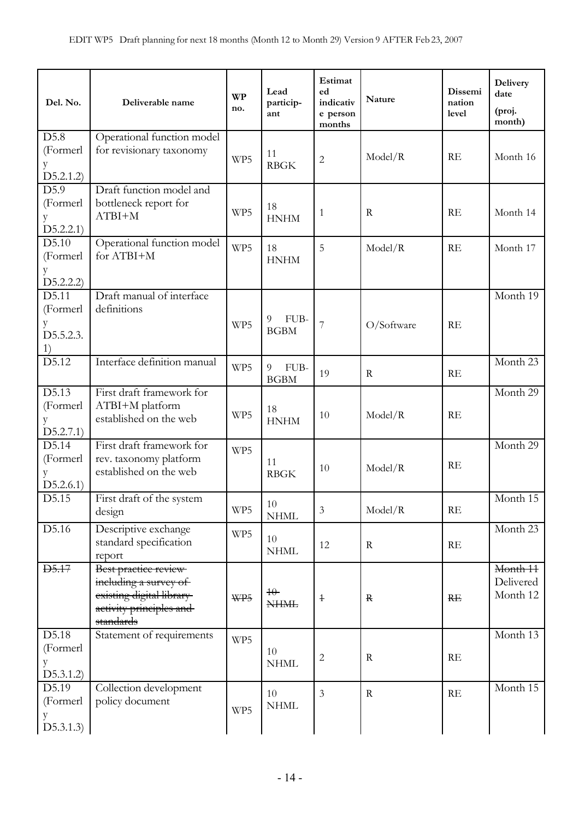| Operational function model<br>(Formerl<br>for revisionary taxonomy<br>11<br>RE<br>Model/R<br>Month 16<br>WP5<br>$\overline{2}$<br>y<br><b>RBGK</b><br>D5.2.1.2)<br>D5.9<br>Draft function model and<br>bottleneck report for<br>(Formerl<br>18<br>WP5<br>RE<br>$\mathbf R$<br>Month 14<br>$\mathbf{1}$<br>$ATBI+M$<br><b>HNHM</b><br>у<br>D5.2.2.1)<br>Operational function model<br>D5.10<br>WP5<br>18<br>5<br>RE<br>Model/R<br>Month 17<br>for ATBI+M<br>(Formerl<br><b>HNHM</b><br>D5.2.2.2)<br>Draft manual of interface<br>D5.11<br>Month 19<br>definitions<br>(Formerl<br>FUB-<br>9<br>7<br>O/Software<br>у<br>WP5<br>RE<br><b>BGBM</b><br>D5.5.2.3.<br>1)<br>Interface definition manual<br>D5.12<br>Month 23<br>WP5<br>FUB-<br>9<br>19<br>${\bf R}$<br>RE<br><b>BGBM</b><br>D5.13<br>First draft framework for<br>Month 29<br>ATBI+M platform<br>(Formerl<br>18<br>WP5<br>Model/R<br>RE<br>10<br>established on the web<br>y<br><b>HNHM</b><br>D5.2.7.1)<br>D5.14<br>First draft framework for<br>Month 29<br>WP5<br>(Formerl<br>rev. taxonomy platform<br>11<br>RE<br>Model/R<br>10<br>established on the web<br>y<br><b>RBGK</b><br>D5.2.6.1)<br>Month 15<br>D5.15<br>First draft of the system<br>10<br>WP5<br>$\mathfrak{Z}$<br>Model/R<br>$\mathbf{RE}$<br>design<br><b>NHML</b><br>D5.16<br>Descriptive exchange<br>Month 23<br>WP5<br>10<br>standard specification<br>${\bf R}$<br>RE<br>12<br><b>NHML</b><br>report<br>Best practice review<br><b>D5.17</b><br>Month 11<br>including a survey of<br>Delivered<br>$40-$<br>existing digital library<br>Month 12<br>WP5<br><b>RE</b><br>$\ensuremath{\mathsf{+}}$<br>$\mathbf R$<br><b>NHML</b><br>activity principles and<br>standards<br>D5.18<br>Statement of requirements<br>Month 13<br>WP5<br>(Formerl<br>10<br>$\sqrt{2}$<br>$\mathbf R$<br>RE<br><b>NHML</b><br>у | Del. No.          | Deliverable name | <b>WP</b><br>no. | Lead<br>particip-<br>ant | Estimat<br>ed<br>indicativ<br>e person<br>months | Nature | Dissemi<br>nation<br>level | <b>Delivery</b><br>date<br>(proj.<br>month) |
|-----------------------------------------------------------------------------------------------------------------------------------------------------------------------------------------------------------------------------------------------------------------------------------------------------------------------------------------------------------------------------------------------------------------------------------------------------------------------------------------------------------------------------------------------------------------------------------------------------------------------------------------------------------------------------------------------------------------------------------------------------------------------------------------------------------------------------------------------------------------------------------------------------------------------------------------------------------------------------------------------------------------------------------------------------------------------------------------------------------------------------------------------------------------------------------------------------------------------------------------------------------------------------------------------------------------------------------------------------------------------------------------------------------------------------------------------------------------------------------------------------------------------------------------------------------------------------------------------------------------------------------------------------------------------------------------------------------------------------------------------------------------------------------------------------------------------------------------|-------------------|------------------|------------------|--------------------------|--------------------------------------------------|--------|----------------------------|---------------------------------------------|
|                                                                                                                                                                                                                                                                                                                                                                                                                                                                                                                                                                                                                                                                                                                                                                                                                                                                                                                                                                                                                                                                                                                                                                                                                                                                                                                                                                                                                                                                                                                                                                                                                                                                                                                                                                                                                                         | $\overline{D5.8}$ |                  |                  |                          |                                                  |        |                            |                                             |
|                                                                                                                                                                                                                                                                                                                                                                                                                                                                                                                                                                                                                                                                                                                                                                                                                                                                                                                                                                                                                                                                                                                                                                                                                                                                                                                                                                                                                                                                                                                                                                                                                                                                                                                                                                                                                                         |                   |                  |                  |                          |                                                  |        |                            |                                             |
|                                                                                                                                                                                                                                                                                                                                                                                                                                                                                                                                                                                                                                                                                                                                                                                                                                                                                                                                                                                                                                                                                                                                                                                                                                                                                                                                                                                                                                                                                                                                                                                                                                                                                                                                                                                                                                         |                   |                  |                  |                          |                                                  |        |                            |                                             |
|                                                                                                                                                                                                                                                                                                                                                                                                                                                                                                                                                                                                                                                                                                                                                                                                                                                                                                                                                                                                                                                                                                                                                                                                                                                                                                                                                                                                                                                                                                                                                                                                                                                                                                                                                                                                                                         |                   |                  |                  |                          |                                                  |        |                            |                                             |
|                                                                                                                                                                                                                                                                                                                                                                                                                                                                                                                                                                                                                                                                                                                                                                                                                                                                                                                                                                                                                                                                                                                                                                                                                                                                                                                                                                                                                                                                                                                                                                                                                                                                                                                                                                                                                                         |                   |                  |                  |                          |                                                  |        |                            |                                             |
|                                                                                                                                                                                                                                                                                                                                                                                                                                                                                                                                                                                                                                                                                                                                                                                                                                                                                                                                                                                                                                                                                                                                                                                                                                                                                                                                                                                                                                                                                                                                                                                                                                                                                                                                                                                                                                         |                   |                  |                  |                          |                                                  |        |                            |                                             |
|                                                                                                                                                                                                                                                                                                                                                                                                                                                                                                                                                                                                                                                                                                                                                                                                                                                                                                                                                                                                                                                                                                                                                                                                                                                                                                                                                                                                                                                                                                                                                                                                                                                                                                                                                                                                                                         |                   |                  |                  |                          |                                                  |        |                            |                                             |
|                                                                                                                                                                                                                                                                                                                                                                                                                                                                                                                                                                                                                                                                                                                                                                                                                                                                                                                                                                                                                                                                                                                                                                                                                                                                                                                                                                                                                                                                                                                                                                                                                                                                                                                                                                                                                                         |                   |                  |                  |                          |                                                  |        |                            |                                             |
|                                                                                                                                                                                                                                                                                                                                                                                                                                                                                                                                                                                                                                                                                                                                                                                                                                                                                                                                                                                                                                                                                                                                                                                                                                                                                                                                                                                                                                                                                                                                                                                                                                                                                                                                                                                                                                         |                   |                  |                  |                          |                                                  |        |                            |                                             |
|                                                                                                                                                                                                                                                                                                                                                                                                                                                                                                                                                                                                                                                                                                                                                                                                                                                                                                                                                                                                                                                                                                                                                                                                                                                                                                                                                                                                                                                                                                                                                                                                                                                                                                                                                                                                                                         |                   |                  |                  |                          |                                                  |        |                            |                                             |
|                                                                                                                                                                                                                                                                                                                                                                                                                                                                                                                                                                                                                                                                                                                                                                                                                                                                                                                                                                                                                                                                                                                                                                                                                                                                                                                                                                                                                                                                                                                                                                                                                                                                                                                                                                                                                                         |                   |                  |                  |                          |                                                  |        |                            |                                             |
|                                                                                                                                                                                                                                                                                                                                                                                                                                                                                                                                                                                                                                                                                                                                                                                                                                                                                                                                                                                                                                                                                                                                                                                                                                                                                                                                                                                                                                                                                                                                                                                                                                                                                                                                                                                                                                         |                   |                  |                  |                          |                                                  |        |                            |                                             |
|                                                                                                                                                                                                                                                                                                                                                                                                                                                                                                                                                                                                                                                                                                                                                                                                                                                                                                                                                                                                                                                                                                                                                                                                                                                                                                                                                                                                                                                                                                                                                                                                                                                                                                                                                                                                                                         |                   |                  |                  |                          |                                                  |        |                            |                                             |
|                                                                                                                                                                                                                                                                                                                                                                                                                                                                                                                                                                                                                                                                                                                                                                                                                                                                                                                                                                                                                                                                                                                                                                                                                                                                                                                                                                                                                                                                                                                                                                                                                                                                                                                                                                                                                                         |                   |                  |                  |                          |                                                  |        |                            |                                             |
|                                                                                                                                                                                                                                                                                                                                                                                                                                                                                                                                                                                                                                                                                                                                                                                                                                                                                                                                                                                                                                                                                                                                                                                                                                                                                                                                                                                                                                                                                                                                                                                                                                                                                                                                                                                                                                         |                   |                  |                  |                          |                                                  |        |                            |                                             |
|                                                                                                                                                                                                                                                                                                                                                                                                                                                                                                                                                                                                                                                                                                                                                                                                                                                                                                                                                                                                                                                                                                                                                                                                                                                                                                                                                                                                                                                                                                                                                                                                                                                                                                                                                                                                                                         |                   |                  |                  |                          |                                                  |        |                            |                                             |
|                                                                                                                                                                                                                                                                                                                                                                                                                                                                                                                                                                                                                                                                                                                                                                                                                                                                                                                                                                                                                                                                                                                                                                                                                                                                                                                                                                                                                                                                                                                                                                                                                                                                                                                                                                                                                                         |                   |                  |                  |                          |                                                  |        |                            |                                             |
|                                                                                                                                                                                                                                                                                                                                                                                                                                                                                                                                                                                                                                                                                                                                                                                                                                                                                                                                                                                                                                                                                                                                                                                                                                                                                                                                                                                                                                                                                                                                                                                                                                                                                                                                                                                                                                         |                   |                  |                  |                          |                                                  |        |                            |                                             |
|                                                                                                                                                                                                                                                                                                                                                                                                                                                                                                                                                                                                                                                                                                                                                                                                                                                                                                                                                                                                                                                                                                                                                                                                                                                                                                                                                                                                                                                                                                                                                                                                                                                                                                                                                                                                                                         |                   |                  |                  |                          |                                                  |        |                            |                                             |
|                                                                                                                                                                                                                                                                                                                                                                                                                                                                                                                                                                                                                                                                                                                                                                                                                                                                                                                                                                                                                                                                                                                                                                                                                                                                                                                                                                                                                                                                                                                                                                                                                                                                                                                                                                                                                                         |                   |                  |                  |                          |                                                  |        |                            |                                             |
|                                                                                                                                                                                                                                                                                                                                                                                                                                                                                                                                                                                                                                                                                                                                                                                                                                                                                                                                                                                                                                                                                                                                                                                                                                                                                                                                                                                                                                                                                                                                                                                                                                                                                                                                                                                                                                         |                   |                  |                  |                          |                                                  |        |                            |                                             |
|                                                                                                                                                                                                                                                                                                                                                                                                                                                                                                                                                                                                                                                                                                                                                                                                                                                                                                                                                                                                                                                                                                                                                                                                                                                                                                                                                                                                                                                                                                                                                                                                                                                                                                                                                                                                                                         |                   |                  |                  |                          |                                                  |        |                            |                                             |
|                                                                                                                                                                                                                                                                                                                                                                                                                                                                                                                                                                                                                                                                                                                                                                                                                                                                                                                                                                                                                                                                                                                                                                                                                                                                                                                                                                                                                                                                                                                                                                                                                                                                                                                                                                                                                                         |                   |                  |                  |                          |                                                  |        |                            |                                             |
|                                                                                                                                                                                                                                                                                                                                                                                                                                                                                                                                                                                                                                                                                                                                                                                                                                                                                                                                                                                                                                                                                                                                                                                                                                                                                                                                                                                                                                                                                                                                                                                                                                                                                                                                                                                                                                         |                   |                  |                  |                          |                                                  |        |                            |                                             |
|                                                                                                                                                                                                                                                                                                                                                                                                                                                                                                                                                                                                                                                                                                                                                                                                                                                                                                                                                                                                                                                                                                                                                                                                                                                                                                                                                                                                                                                                                                                                                                                                                                                                                                                                                                                                                                         |                   |                  |                  |                          |                                                  |        |                            |                                             |
|                                                                                                                                                                                                                                                                                                                                                                                                                                                                                                                                                                                                                                                                                                                                                                                                                                                                                                                                                                                                                                                                                                                                                                                                                                                                                                                                                                                                                                                                                                                                                                                                                                                                                                                                                                                                                                         |                   |                  |                  |                          |                                                  |        |                            |                                             |
|                                                                                                                                                                                                                                                                                                                                                                                                                                                                                                                                                                                                                                                                                                                                                                                                                                                                                                                                                                                                                                                                                                                                                                                                                                                                                                                                                                                                                                                                                                                                                                                                                                                                                                                                                                                                                                         |                   |                  |                  |                          |                                                  |        |                            |                                             |
|                                                                                                                                                                                                                                                                                                                                                                                                                                                                                                                                                                                                                                                                                                                                                                                                                                                                                                                                                                                                                                                                                                                                                                                                                                                                                                                                                                                                                                                                                                                                                                                                                                                                                                                                                                                                                                         |                   |                  |                  |                          |                                                  |        |                            |                                             |
| D5.3.1.2                                                                                                                                                                                                                                                                                                                                                                                                                                                                                                                                                                                                                                                                                                                                                                                                                                                                                                                                                                                                                                                                                                                                                                                                                                                                                                                                                                                                                                                                                                                                                                                                                                                                                                                                                                                                                                |                   |                  |                  |                          |                                                  |        |                            |                                             |
| D5.19<br>Collection development<br>Month 15<br>10<br>$\overline{3}$<br>RE<br>$\mathbf R$                                                                                                                                                                                                                                                                                                                                                                                                                                                                                                                                                                                                                                                                                                                                                                                                                                                                                                                                                                                                                                                                                                                                                                                                                                                                                                                                                                                                                                                                                                                                                                                                                                                                                                                                                |                   |                  |                  |                          |                                                  |        |                            |                                             |
| policy document<br>(Formerl<br><b>NHML</b><br>WP5                                                                                                                                                                                                                                                                                                                                                                                                                                                                                                                                                                                                                                                                                                                                                                                                                                                                                                                                                                                                                                                                                                                                                                                                                                                                                                                                                                                                                                                                                                                                                                                                                                                                                                                                                                                       |                   |                  |                  |                          |                                                  |        |                            |                                             |
| D5.3.1.3)                                                                                                                                                                                                                                                                                                                                                                                                                                                                                                                                                                                                                                                                                                                                                                                                                                                                                                                                                                                                                                                                                                                                                                                                                                                                                                                                                                                                                                                                                                                                                                                                                                                                                                                                                                                                                               |                   |                  |                  |                          |                                                  |        |                            |                                             |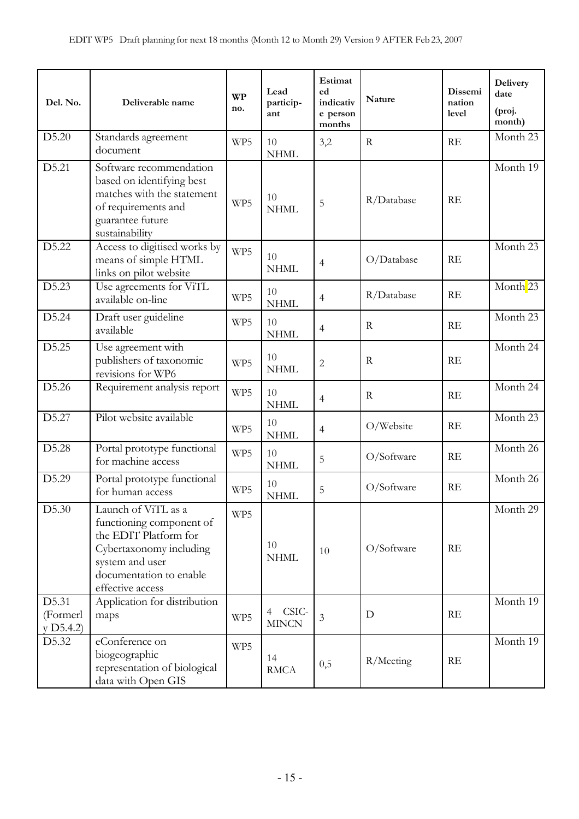| Del. No.                       | Deliverable name                                                                                                                                                      | <b>WP</b><br>no. | Lead<br>particip-<br>ant   | Estimat<br>ed<br>indicativ<br>e person<br>months | Nature      | Dissemi<br>nation<br>level | <b>Delivery</b><br>date<br>(proj.<br>month) |
|--------------------------------|-----------------------------------------------------------------------------------------------------------------------------------------------------------------------|------------------|----------------------------|--------------------------------------------------|-------------|----------------------------|---------------------------------------------|
| D5.20                          | Standards agreement<br>document                                                                                                                                       | WP5              | 10<br><b>NHML</b>          | 3,2                                              | $\mathbf R$ | RE                         | Month 23                                    |
| D5.21                          | Software recommendation<br>based on identifying best<br>matches with the statement<br>of requirements and<br>guarantee future<br>sustainability                       | WP5              | 10<br><b>NHML</b>          | 5                                                | R/Database  | RE                         | Month 19                                    |
| D5.22                          | Access to digitised works by<br>means of simple HTML<br>links on pilot website                                                                                        | WP5              | 10<br><b>NHML</b>          | $\overline{4}$                                   | O/Database  | RE                         | Month 23                                    |
| D5.23                          | Use agreements for ViTL<br>available on-line                                                                                                                          | WP5              | 10<br><b>NHML</b>          | $\overline{4}$                                   | R/Database  | RE                         | Month <sup>23</sup>                         |
| D5.24                          | Draft user guideline<br>available                                                                                                                                     | WP5              | 10<br><b>NHML</b>          | $\overline{4}$                                   | $\mathbf R$ | RE                         | Month 23                                    |
| D5.25                          | Use agreement with<br>publishers of taxonomic<br>revisions for WP6                                                                                                    | WP5              | 10<br><b>NHML</b>          | $\overline{2}$                                   | $\mathbf R$ | RE                         | Month 24                                    |
| D5.26                          | Requirement analysis report                                                                                                                                           | WP5              | 10<br><b>NHML</b>          | $\overline{4}$                                   | $\mathbf R$ | RE                         | Month 24                                    |
| D5.27                          | Pilot website available                                                                                                                                               | WP5              | 10<br>$\mathit{NHML}$      | $\overline{4}$                                   | O/Website   | RE                         | Month 23                                    |
| D5.28                          | Portal prototype functional<br>for machine access                                                                                                                     | WP5              | 10<br><b>NHML</b>          | 5                                                | O/Software  | RE                         | Month 26                                    |
| D5.29                          | Portal prototype functional<br>for human access                                                                                                                       | WP5              | 10<br><b>NHML</b>          | 5                                                | O/Software  | RE                         | Month 26                                    |
| D5.30                          | Launch of ViTL as a<br>functioning component of<br>the EDIT Platform for<br>Cybertaxonomy including<br>system and user<br>documentation to enable<br>effective access | WP5              | 10<br><b>NHML</b>          | 10                                               | O/Software  | RE                         | Month 29                                    |
| D5.31<br>(Formerl<br>y D5.4.2) | Application for distribution<br>maps                                                                                                                                  | WP5              | CSIC-<br>4<br><b>MINCN</b> | $\mathfrak{Z}$                                   | D           | RE                         | Month 19                                    |
| D <sub>5.32</sub>              | eConference on<br>biogeographic<br>representation of biological<br>data with Open GIS                                                                                 | WP5              | 14<br><b>RMCA</b>          | 0,5                                              | R/Meeting   | $\mathbf{RE}$              | Month 19                                    |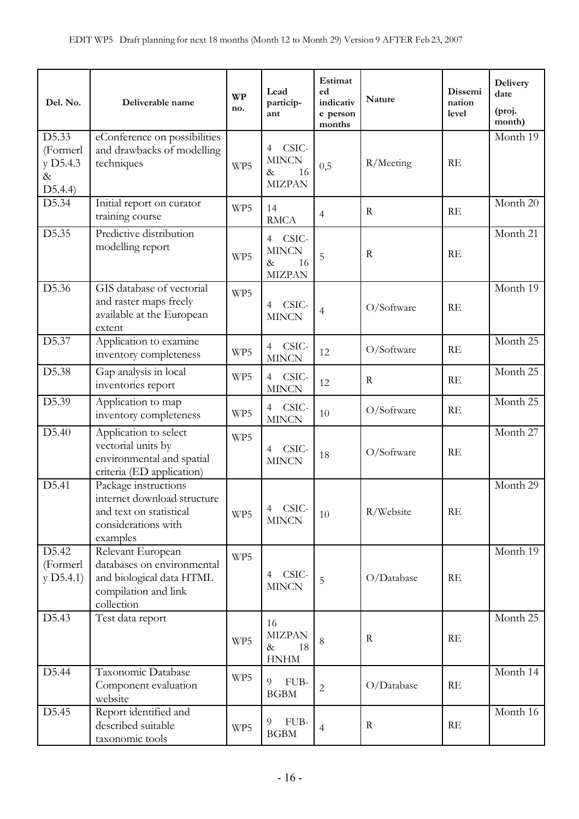| Del. No.                                         | Deliverable name                                                                                                  | <b>WP</b><br>no. | Lead<br>particip-<br>ant                               | Estimat<br>ed<br>indicativ<br>e person<br>months | Nature      | Dissemi<br>nation<br>level | <b>Delivery</b><br>date<br>(proj.<br>month) |
|--------------------------------------------------|-------------------------------------------------------------------------------------------------------------------|------------------|--------------------------------------------------------|--------------------------------------------------|-------------|----------------------------|---------------------------------------------|
| D5.33<br>(Formerl<br>y D5.4.3<br>$\&$<br>D5.4.4) | eConference on possibilities<br>and drawbacks of modelling<br>techniques                                          | WP5              | CSIC-<br>4<br><b>MINCN</b><br>16<br>&<br><b>MIZPAN</b> | 0,5                                              | R/Meeting   | RE                         | Month 19                                    |
| D5.34                                            | Initial report on curator<br>training course                                                                      | WP5              | 14<br><b>RMCA</b>                                      | $\overline{4}$                                   | $\mathbf R$ | RE                         | Month 20                                    |
| D5.35                                            | Predictive distribution<br>modelling report                                                                       | WP5              | 4 CSIC-<br><b>MINCN</b><br>16<br>$\&$<br><b>MIZPAN</b> | 5                                                | R           | RE                         | Month 21                                    |
| D5.36                                            | GIS database of vectorial<br>and raster maps freely<br>available at the European<br>extent                        | WP5              | 4 CSIC-<br><b>MINCN</b>                                | $\overline{4}$                                   | O/Software  | RE                         | Month 19                                    |
| D5.37                                            | Application to examine<br>inventory completeness                                                                  | WP5              | CSIC-<br>$\overline{4}$<br><b>MINCN</b>                | 12                                               | O/Software  | RE                         | Month 25                                    |
| D5.38                                            | Gap analysis in local<br>inventories report                                                                       | WP5              | 4 CSIC-<br><b>MINCN</b>                                | 12                                               | $\mathbf R$ | RE                         | Month 25                                    |
| D5.39                                            | Application to map<br>inventory completeness                                                                      | WP5              | 4 CSIC-<br><b>MINCN</b>                                | 10                                               | O/Software  | RE                         | Month 25                                    |
| D5.40                                            | Application to select<br>vectorial units by<br>environmental and spatial<br>criteria (ED application)             | WP5              | CSIC-<br>$\overline{4}$<br><b>MINCN</b>                | 18                                               | O/Software  | RE                         | Month 27                                    |
| D5.41                                            | Package instructions<br>internet download structure<br>and text on statistical<br>considerations with<br>examples | WP5              | 4 CSIC-<br><b>MINCN</b>                                | 10                                               | R/Website   | RE                         | Month 29                                    |
| D5.42<br>(Formerl<br>$y$ D5.4.1)                 | Relevant European<br>databases on environmental<br>and biological data HTML<br>compilation and link<br>collection | WP5              | CSIC-<br>$\overline{4}$<br><b>MINCN</b>                | 5                                                | O/Database  | RE                         | Month 19                                    |
| D5.43                                            | Test data report                                                                                                  | WP5              | 16<br><b>MIZPAN</b><br>18<br>$\&$<br>${\hbox{HNHM}}$   | 8                                                | $\mathbf R$ | RE                         | Month 25                                    |
| D5.44                                            | Taxonomic Database<br>Component evaluation<br>website                                                             | WP5              | 9<br>FUB-<br><b>BGBM</b>                               | $\overline{c}$                                   | O/Database  | RE                         | Month $14$                                  |
| D5.45                                            | Report identified and<br>described suitable<br>taxonomic tools                                                    | WP5              | FUB-<br>9<br><b>BGBM</b>                               | $\overline{4}$                                   | R           | RE                         | Month 16                                    |